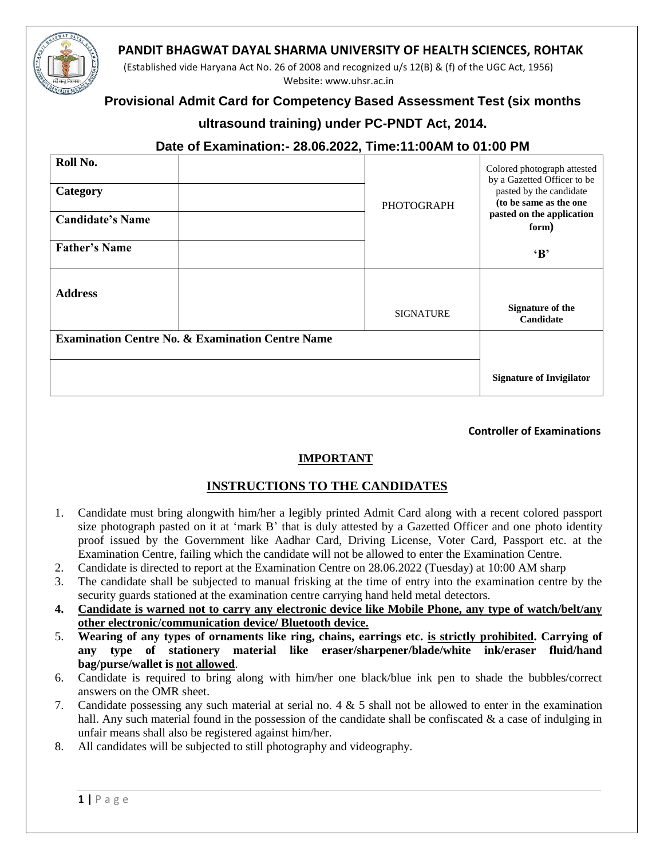

(Established vide Haryana Act No. 26 of 2008 and recognized u/s 12(B) & (f) of the UGC Act, 1956) Website: www.uhsr.ac.in

# **Provisional Admit Card for Competency Based Assessment Test (six months**

### **ultrasound training) under PC-PNDT Act, 2014.**

# **Date of Examination:- 28.06.2022, Time:11:00AM to 01:00 PM**

| Roll No.<br>Category                                        | <b>PHOTOGRAPH</b> | Colored photograph attested<br>by a Gazetted Officer to be<br>pasted by the candidate<br>(to be same as the one |
|-------------------------------------------------------------|-------------------|-----------------------------------------------------------------------------------------------------------------|
| <b>Candidate's Name</b>                                     |                   | pasted on the application<br>form)                                                                              |
| <b>Father's Name</b>                                        |                   | $\mathbf{B}$                                                                                                    |
| <b>Address</b>                                              | <b>SIGNATURE</b>  | <b>Signature of the</b><br>Candidate                                                                            |
| <b>Examination Centre No. &amp; Examination Centre Name</b> |                   |                                                                                                                 |
|                                                             |                   | <b>Signature of Invigilator</b>                                                                                 |

### **Controller of Examinations**

### **IMPORTANT**

## **INSTRUCTIONS TO THE CANDIDATES**

- 1. Candidate must bring alongwith him/her a legibly printed Admit Card along with a recent colored passport size photograph pasted on it at 'mark B' that is duly attested by a Gazetted Officer and one photo identity proof issued by the Government like Aadhar Card, Driving License, Voter Card, Passport etc. at the Examination Centre, failing which the candidate will not be allowed to enter the Examination Centre.
- 2. Candidate is directed to report at the Examination Centre on 28.06.2022 (Tuesday) at 10:00 AM sharp
- 3. The candidate shall be subjected to manual frisking at the time of entry into the examination centre by the security guards stationed at the examination centre carrying hand held metal detectors.
- **4. Candidate is warned not to carry any electronic device like Mobile Phone, any type of watch/belt/any other electronic/communication device/ Bluetooth device.**
- 5. **Wearing of any types of ornaments like ring, chains, earrings etc. is strictly prohibited. Carrying of any type of stationery material like eraser/sharpener/blade/white ink/eraser fluid/hand bag/purse/wallet is not allowed**.
- 6. Candidate is required to bring along with him/her one black/blue ink pen to shade the bubbles/correct answers on the OMR sheet.
- 7. Candidate possessing any such material at serial no. 4 & 5 shall not be allowed to enter in the examination hall. Any such material found in the possession of the candidate shall be confiscated  $\&$  a case of indulging in unfair means shall also be registered against him/her.
- 8. All candidates will be subjected to still photography and videography.